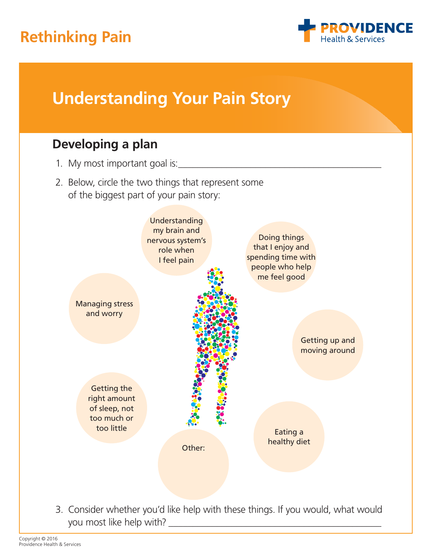## **Rethinking Pain**





you most like help with?